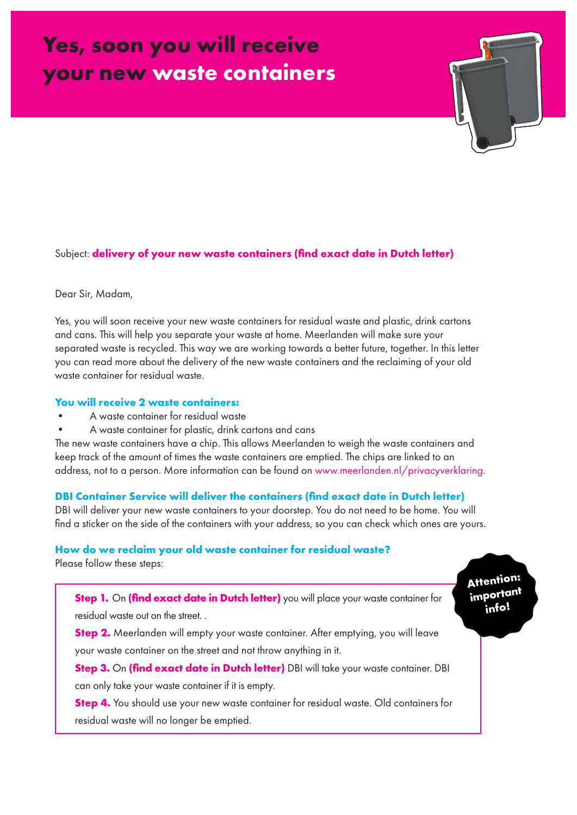# **Yes, soon you will receive your new waste containers**

# Subject: **delivery of your new waste containers (find exact date in Dutch letter)**

#### Dear Sir, Madam,

Yes, you will soon receive your new waste containers for residual waste and plastic, drink cartons and cans. This will help you separate your waste at home. Meerlanden will make sure your separated waste is recycled. This way we are working towards a better future, together. In this letter you can read more about the delivery of the new waste containers and the reclaiming of your old waste container for residual waste.

## **You will receive 2 waste containers:**

- A waste container for residual waste
- A waste container for plastic, drink cartons and cans

The new waste containers have a chip. This allows Meerlanden to weigh the waste containers and keep track of the amount of times the waste containers are emptied. The chips are linked to an address, not to a person. More information can be found on www.meerlanden.nl/privacyverklaring.

#### **DBI Container Service will deliver the containers (find exact date in Dutch letter)**

DBI will deliver your new waste containers to your doorstep. You do not need to be home. You will find a sticker on the side of the containers with your address, so you can check which ones are yours.

> **Attention: important info!**

#### **How do we reclaim your old waste container for residual waste?**

Please follow these steps:

**Step 1.** On *(find exact date in Dutch letter)* you will place your waste container for residual waste out on the street. .

**Step 2.** Meerlanden will empty your waste container. After emptying, you will leave your waste container on the street and not throw anything in it.

**Step 3.** On **(find exact date in Dutch letter)** DBI will take your waste container. DBI can only take your waste container if it is empty.

**Step 4.** You should use your new waste container for residual waste. Old containers for residual waste will no longer be emptied.